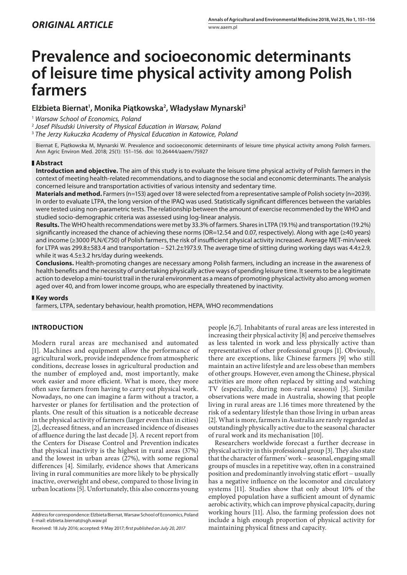# **Prevalence and socioeconomic determinants of leisure time physical activity among Polish farmers**

# **Elżbieta Biernat1 , Monika Piątkowska2 , Władysław Mynarski3**

<sup>1</sup> *Warsaw School of Economics, Poland*

<sup>2</sup> *Josef Pilsudski University of Physical Education in Warsaw, Poland*

<sup>3</sup> *The Jerzy Kukuczka Academy of Physical Education in Katowice, Poland*

Biernat E, Piątkowska M, Mynarski W. Prevalence and socioeconomic determinants of leisure time physical activity among Polish farmers. Ann Agric Environ Med. 2018; 25(1): 151–156. doi: 10.26444/aaem/75927

### **Abstract**

**Introduction and objective.** The aim of this study is to evaluate the leisure time physical activity of Polish farmers in the context of meeting health-related recommendations, and to diagnose the social and economic determinants. The analysis concerned leisure and transportation activities of various intensity and sedentary time.

**Materials and method.** Farmers (n=153) aged over 18 were selected from a representative sample of Polish society (n=2039). In order to evaluate LTPA, the long version of the IPAQ was used. Statistically significant differences between the variables were tested using non-parametric tests. The relationship between the amount of exercise recommended by the WHO and studied socio-demographic criteria was assessed using log-linear analysis.

**Results.** The WHO health recommendations were met by 33.3% of farmers. Shares in LTPA (19.1%) and transportation (19.2%) significantly increased the chance of achieving these norms (OR=12.54 and 0.07, respectively). Along with age (≥40 years) and income (≥3000 PLN/Є750) of Polish farmers, the risk of insufficient physical activity increased. Average MET-min/week for LTPA was 299.8±583.4 and transportation – 521.2±1973.9. The average time of sitting during working days was 4.4±2.9, while it was 4.5±3.2 hrs/day during weekends.

**Conclusions.** Health-promoting changes are necessary among Polish farmers, including an increase in the awareness of health benefits and the necessity of undertaking physically active ways of spending leisure time. It seems to be a legitimate action to develop a mini-tourist trail in the rural environment as a means of promoting physical activity also among women aged over 40, and from lower income groups, who are especially threatened by inactivity.

### **Key words**

farmers, LTPA, sedentary behaviour, health promotion, HEPA, WHO recommendations

# **INTRODUCTION**

Modern rural areas are mechanised and automated [1]. Machines and equipment allow the performance of agricultural work, provide independence from atmospheric conditions, decrease losses in agricultural production and the number of employed and, most importantly, make work easier and more efficient. What is more, they more often save farmers from having to carry out physical work. Nowadays, no one can imagine a farm without a tractor, a harvester or planes for fertilisation and the protection of plants. One result of this situation is a noticeable decrease in the physical activity of farmers (larger even than in cities) [2], decreased fitness, and an increased incidence of diseases of affluence during the last decade [3]. A recent report from the Centers for Disease Control and Prevention indicates that physical inactivity is the highest in rural areas (37%) and the lowest in urban areas (27%), with some regional differences [4]. Similarly, evidence shows that Americans living in rural communities are more likely to be physically inactive, overweight and obese, compared to those living in urban locations [5]. Unfortunately, this also concerns young

Received: 18 July 2016; accepted: 9 May 2017; *first published on July 20, 2017*

people [6,7]. Inhabitants of rural areas are less interested in increasing their physical activity [8] and perceive themselves as less talented in work and less physically active than representatives of other professional groups [1]. Obviously, there are exceptions, like Chinese farmers [9] who still maintain an active lifestyle and are less obese than members of other groups. However, even among the Chinese, physical activities are more often replaced by sitting and watching TV (especially, during non-rural seasons) [3]. Similar observations were made in Australia, showing that people living in rural areas are 1.16 times more threatened by the risk of a sedentary lifestyle than those living in urban areas [2]. What is more, farmers in Australia are rarely regarded as outstandingly physically active due to the seasonal character of rural work and its mechanisation [10].

Researchers worldwide forecast a further decrease in physical activity in this professional group [3]. They also state that the character of farmers' work – seasonal, engaging small groups of muscles in a repetitive way, often in a constrained position and predominantly involving static effort − usually has a negative influence on the locomotor and circulatory systems [11]. Studies show that only about 10% of the employed population have a sufficient amount of dynamic aerobic activity, which can improve physical capacity, during working hours [11]. Also, the farming profession does not include a high enough proportion of physical activity for maintaining physical fitness and capacity.

Address for correspondence: Elżbieta Biernat, Warsaw School of Economics, Poland E-mail: elzbieta.biernat@sgh.waw.pl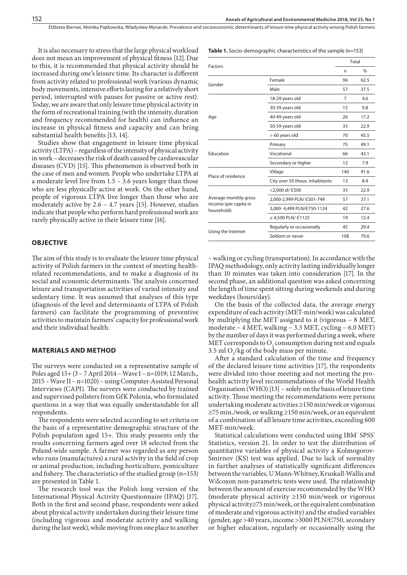Elżbieta Biernat, Monika Piątkowska, Władysław Mynarski . Prevalence and socioeconomic determinants of leisure time physical activity among Polish farmers

It is also necessary to stress that the large physical workload does not mean an improvement of physical fitness [12].Due to this, it is recommended that physical activity should be increased during one's leisure time. Its character is different from activity related to professional work (various dynamic body movements, intensive efforts lasting for a relatively short period, interrupted with pauses for passive or active rest). Today, we are aware that only leisure time physical activity in the form of recreational training (with the intensity, duration and frequency recommended for health) can influence an increase in physical fitness and capacity and can bring substantial health benefits [13, 14].

Studies show that engagement in leisure time physical activity (LTPA) – regardless of the intensity of physical activity in work – decreases the risk of death caused by cardiovascular diseases (CVD) [15]. This phenomenon is observed both in the case of men and women. People who undertake LTPA at a moderate level live from 1.5 – 3.6 years longer than those who are less physically active at work. On the other hand, people of vigorous LTPA live longer than those who are moderately active by 2.6 – 4.7 years [15]. However, studies indicate that people who perform hard professional work are rarely physically active in their leisure time [16].

# **OBJECTIVE**

The aim of this study is to evaluate the leisure time physical activity of Polish farmers in the context of meeting healthrelated recommendations, and to make a diagnosis of its social and economic determinants. The analysis concerned leisure and transportation activities of varied intensity and sedentary time. It was assumed that analyses of this type (diagnosis of the level and determinants of LTPA of Polish farmers) can facilitate the programming of preventive activities to maintain farmers' capacity for professional work and their individual health.

#### **MATERIALS AND METHOD**

The surveys were conducted on a representative sample of Poles aged 15+ (3 – 7 April 2014 – Wave I – n=1019; 12 March,, 2015 – Wave II – n=1020) – using Computer-Assisted Personal Interviews (CAPI). The surveys were conducted by trained and supervised pollsters from GfK Polonia, who formulated questions in a way that was equally understandable for all respondents.

The respondents were selected according to set criteria on the basis of a representative demographic structure of the Polish population aged 15+. This study presents only the results concerning farmers aged over 18 selected from the Poland-wide sample. A farmer was regarded as any person who runs (manufactures) a rural activity in the field of crop or animal production, including horticulture, pomiculture and fishery. The characteristics of the studied group (n=153) are presented in Table 1.

The research tool was the Polish long version of the International Physical Activity Questionnaire (IPAQ) [17]. Both in the first and second phase, respondents were asked about physical activity undertaken during their leisure time (including vigorous and moderate activity and walking during the last week), while moving from one place to another **Table 1.** Socio-demographic characteristics of the sample (n=153)

|                                                              |                                 | Total |               |  |
|--------------------------------------------------------------|---------------------------------|-------|---------------|--|
| <b>Factors</b>                                               |                                 | n     | $\frac{0}{0}$ |  |
|                                                              | Female                          | 96    | 62.5          |  |
| Gender                                                       | Male                            | 57    | 37.5          |  |
|                                                              | 18-29 years old                 | 7     | 4.6           |  |
| Age                                                          | 30-39 years old                 | 15    | 9.8           |  |
|                                                              | 40-49 years old                 | 26    | 17.2          |  |
|                                                              | 50-59 years old                 | 35    | 22.9          |  |
|                                                              | > 60 years old                  | 70    | 45.5          |  |
| Education                                                    | Primary                         | 75    | 49.1          |  |
|                                                              | Vocational                      | 66    | 43.1          |  |
|                                                              | Secondary or higher             | 12    | 7.9           |  |
| Place of residence                                           | Village                         | 140   | 91.6          |  |
|                                                              | City over 50 thous. inhabitants | 13    | 8.4           |  |
| Average monthly gross<br>income (per capita in<br>household) | <2,000 zł/ E500                 | 35    | 22.9          |  |
|                                                              | 2,000-2,999 PLN/ E501-749       | 57    | 37.1          |  |
|                                                              | 3.000-4.499 PLN/E750-1124       | 42    | 27.6          |  |
|                                                              | ≥ 4,500 PLN/ €1125              | 19    | 12.4          |  |
|                                                              | Regularly or occasionally       | 45    | 29.4          |  |
| Using the Internet                                           | Seldom or never                 | 108   | 70.6          |  |

– walking or cycling (transportation). In accordance with the IPAQ methodology, only activity lasting individually longer than 10 minutes was taken into consideration [17]. In the second phase, an additional question was asked concerning the length of time spent sitting during weekends and during weekdays (hours/day).

On the basis of the collected data, the average energy expenditure of each activity (MET-min/week) was calculated by multiplying the MET assigned to it (vigorous − 8 MET, moderate − 4 MET, walking − 3.3 MET, cycling − 6.0 MET) by the number of days it was performed during a week, where MET corresponds to  $O_2$  consumption during rest and equals 3.5 ml  $O_2$ /kg of the body mass per minute.

After a standard calculation of the time and frequency of the declared leisure time activities [17], the respondents were divided into those meeting and not meeting the prohealth activity level recommendations of the World Health Organisation (WHO) [13] − solely on the basis of leisure time activity. Those meeting the recommendations were persons undertaking moderate activities ≥150 min/week or vigorous ≥75 min./week, or walking ≥150 min/week, or an equivalent of a combination of all leisure time activities, exceeding 600 MET-min/week.

Statistical calculations were conducted using IBM' SPSS' Statistics, version 21. In order to test the distribution of quantitative variables of physical activity a Kolmogorov-Smirnov (KS) test was applied. Due to lack of normality in further analyses of statistically significant differences between the variables, U Mann-Whitney, Kruskall-Wallis and Wilcoxon non-parametric tests were used. The relationship between the amount of exercise recommended by the WHO (moderate physical activity ≥150 min/week or vigorous physical activity≥75 min/week, or the equivalent combination of moderate and vigorous activity) and the studied variables (gender, age >40 years, income >3000 PLN/Є750, secondary or higher education, regularly or occasionally using the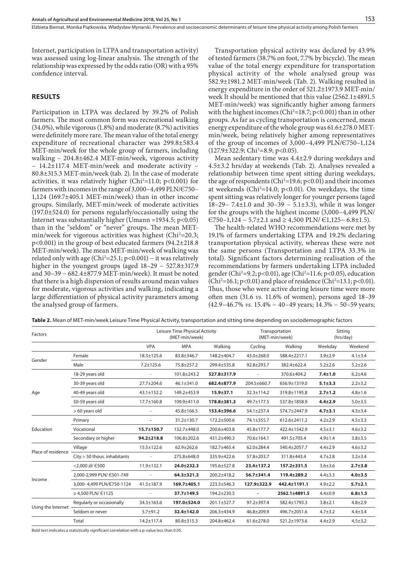Internet, participation in LTPA and transportation activity) was assessed using log-linear analysis. The strength of the relationship was expressed by the odds ratio (OR) with a 95% confidence interval.

## **RESULTS**

Participation in LTPA was declared by 39.2% of Polish farmers. The most common form was recreational walking (34.0%), while vigorous (1.8%) and moderate (8.7%) activities were definitely more rare. The mean value of the total energy expenditure of recreational character was 299.8±583.4 MET-min/week for the whole group of farmers, including walking – 204.8±462.4 MET-min/week, vigorous activity – 14.2±117.4 MET-min/week and moderate activity – 80.8±315.3 MET-min/week (tab. 2). In the case of moderate activities, it was relatively higher (Chi<sup>2</sup>=11.0; p<0.001) for farmers with incomes in the range of 3,000–4,499 PLN/Є750– 1,124 (169.7±405.1 MET-min/week) than in other income groups. Similarly, MET-min/week of moderate activities (197.0±524.0) for persons regularly/occasionally using the Internet was substantially higher (Umann =1934.5;  $p<0.05$ ) than in the "seldom" or "never" groups. The mean METmin/week for vigorous activities was highest (Chi<sup>2</sup>=20.3; p<0.001) in the group of best educated farmers (94.2±218.8 MET-min/week). The mean MET-min/week of walking was related only with age (Chi<sup>2</sup>=25.1; p<0.001) – it was relatively higher in the youngest groups (aged 18–29 − 527.8±317.9 and 30–39 − 682.4±877.9 MET-min/week). It must be noted that there is a high dispersion of results around mean values for moderate, vigorous activities and walking, indicating a large differentiation of physical activity parameters among the analysed group of farmers.

Transportation physical activity was declared by 43.9% of tested farmers (38.7% on foot, 7.7% by bicycle). The mean value of the total energy expenditure for transportation physical activity of the whole analysed group was 582.9±1981.2 MET-min/week (Tab. 2). Walking resulted in energy expenditure in the order of 521.2±1973.9 MET-min/ week It should be mentioned that this value (2562.1±4891.5 MET-min/week) was significantly higher among farmers with the highest incomes ( $Chi^2=18.7; p<0.001$ ) than in other groups. As far as cycling transportation is concerned, mean energy expenditure of the whole group was 61.6±278.0 METmin/week, being relatively higher among representatives of the group of incomes of 3,000–4,499 PLN/Є750–1,124  $(127.9 \pm 322.9; Chi^2=8.9; p<0.05)$ .

Mean sedentary time was 4.4±2.9 during weekdays and 4.5±3.2 hrs/day at weekends (Tab. 2). Analyses revealed a relationship between time spent sitting during weekdays, the age of respondents ( $Chi^2 = 19.6$ ;  $p < 0.01$ ) and their incomes at weekends ( $Chi^2=14.0$ ;  $p<0.01$ ). On weekdays, the time spent sitting was relatively longer for younger persons (aged 18–29– 7.4 $\pm$ 1.0 and 30–39 – 5.1 $\pm$ 3.3), while it was longer for the groups with the highest income (3,000–4,499 PLN/ Є750–1,124 − 5.7±2.1 and ≥ 4,500 PLN/ Є1,125− 6.8±1.5).

The health-related WHO recommendations were met by 19.1% of farmers undertaking LTPA and 19.2% declaring transportation physical activity, whereas these were not the same persons (Transportation and LTPA 33.3% in total). Significant factors determining realisation of the recommendations by farmers undertaking LTPA included gender (Chi2 =9.2; p<0.01), age (Chi2 =11.6; p<0.05), education (Chi<sup>2</sup>=16.1; p<0.01) and place of residence (Chi<sup>2</sup>=13.1; p<0.01). Thus, those who were active during leisure time were more often men (31.6 *vs.* 11.6% of women), persons aged 18–39 (42.9–46.7% *vs.* 15.4% − 40–49 years; 14.3% − 50–59 years;

**Table 2.** Mean of MET-min/week Leisure Time Physical Activity, transportation and sitting time depending on sociodemographic factors

| Factors            |                                | Leisure Time Physical Activity<br>(MET-min/week) |                  | Transportation<br>(MET-min/week) |                  | Sitting<br>(hrs/day) |               |               |
|--------------------|--------------------------------|--------------------------------------------------|------------------|----------------------------------|------------------|----------------------|---------------|---------------|
|                    |                                | <b>VPA</b>                                       | <b>MPA</b>       | Walking                          | Cycling          | Walking              | Weekday       | Weekend       |
| Gender             | Female                         | $18.3 \pm 125.6$                                 | 83.8±346.7       | 148.2±404.7                      | $43.0 \pm 268.0$ | 588.4±2217.1         | $3.9 + 2.9$   | $4.1 \pm 3.4$ |
|                    | Male                           | $7.2 \pm 125.6$                                  | 75.8±257.2       | 299.4±535.8                      | $92.8 \pm 293.7$ | 382.4±622.4          | $5.2 \pm 2.6$ | $5.2 + 2.6$   |
| Age                | 18-29 years old                |                                                  | 101.8±243.2      | 527.8±317.9                      |                  | 370.6±404.2          | $7.4 \pm 1.0$ | $6.2 + 4.6$   |
|                    | 30-39 years old                | 27.7±204.6                                       | $46.1 \pm 341.0$ | 682.4±877.9                      | 204.5±660.7      | 656.9±1319.0         | $5.1 \pm 3.3$ | $2.2 + 3.2$   |
|                    | 40-49 years old                | 43.1±152.2                                       | 149.2±453.9      | $15.9 \pm 37.1$                  | $32.3 \pm 114.2$ | 319.8±1195.8         | $2.7 \pm 1.2$ | $4.8 \pm 1.6$ |
|                    | 50-59 years old                | 17.7±160.8                                       | 109.9±411.0      | 178.8±381.3                      | 49.7±177.5       | 537.8±1858.9         | $4.4 \pm 2.9$ | $5.0 + 3.5$   |
|                    | > 60 years old                 | ÷.                                               | $45.8 \pm 166.5$ | 153.4±396.6                      | 54.1±237.4       | 574.7±2447.9         | $4.7 + 3.1$   | $4.3 \pm 3.4$ |
| Education          | Primary                        | $\overline{\phantom{a}}$                         | 31.2±130.7       | 172.2±500.6                      | 74.1±355.7       | 612.6±2411.2         | $4.2 \pm 2.9$ | $4.5 \pm 3.3$ |
|                    | Vocational                     | 15.7±150.7                                       | 132.7±448.0      | 200.6±403.8                      | $45.8 \pm 177.7$ | 422.4±1542.9         | $4.5 \pm 3.1$ | $4.6 \pm 3.2$ |
|                    | Secondary or higher            | $94.2 \pm 218.8$                                 | 106.8±202.6      | 431.2±490.3                      | 70.6±164.1       | 491.5±705.4          | $4.9 + 1.4$   | $3.8 + 3.5$   |
| Place of residence | Village                        | 15.5±122.6                                       | $62.9 \pm 262.6$ | 182.7±465.4                      | $62.0 \pm 284.4$ | 540.4±2057.7         | $4.4 \pm 2.9$ | $4.6 \pm 3.2$ |
|                    | $City > 50$ thous. inhabitants |                                                  | 275.8±648.0      | 335.9±422.6                      | 57.8±203.7       | 311.8±443.4          | $4.7 \pm 2.8$ | $3.2 + 3.4$   |
| Income             | <2.000 zł/ E500                | $11.9 \pm 132.1$                                 | 24.0±232.3       | 195.6±527.8                      | 23.4±137.2       | 157.2±331.5          | $3.6 + 3.6$   | $2.7 + 3.8$   |
|                    | 2,000-2,999 PLN/ €501-749      | ä,                                               | $64.3 \pm 321.3$ | 200.2±418.2                      | 56.7±341.4       | 119.4±289.2          | $4.4 \pm 3.3$ | $4.0 + 3.5$   |
|                    | 3.000-4.499 PLN/E750-1124      | $41.5 \pm 187.9$                                 | 169.7±405.1      | $223.3 \pm 546.3$                | 127.9±322.9      | 442.4±1191.1         | $4.9 \pm 2.2$ | $5.7 + 2.1$   |
|                    | ≥ 4,500 PLN/ $€1125$           |                                                  | 37.7±149.5       | 194.2±230.5                      |                  | 2562.1±4891.5        | $4.4 + 0.9$   | $6.8 + 1.5$   |
| Using the Internet | Regularly or occasionally      | 34.3±163.6                                       | 197.0±524.0      | 201.1±527.7                      | $97.2 + 397.4$   | 582.4±1793.3         | $3.8 + 2.1$   | $4.8 \pm 2.9$ |
|                    | Seldom or never                | $5.7 + 91.2$                                     | 32.4±142.0       | 206.3±434.9                      | $46.8 \pm 209.9$ | 496.7±2051.6         | $4.7 + 3.2$   | $4.4 \pm 3.4$ |
|                    | Total                          | 14.2±117.4                                       | 80.8±315.3       | 204.8±462.4                      | $61.6 \pm 278.0$ | 521.2±1973.6         | $4.4 \pm 2.9$ | $4,5+3,2$     |

Bold text indicates a statistically significant correlation with a p-value less than 0.05.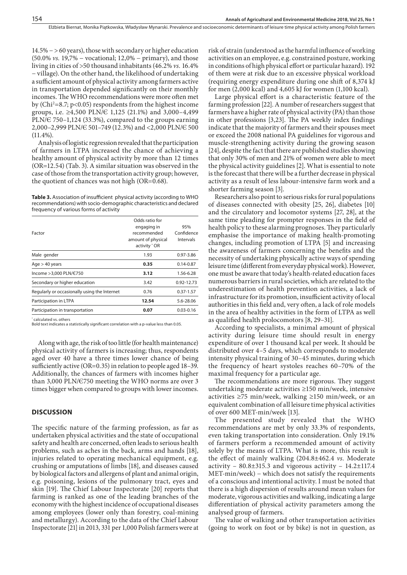14.5% − > 60 years), those with secondary or higher education (50.0% *vs.* 19,7% − vocational; 12,0% − primary), and those living in cities of >50 thousand inhabitants (46.2% *vs.* 16.4% − village). On the other hand, the likelihood of undertaking a sufficient amount of physical activity among farmers active in transportation depended significantly on their monthly incomes. The WHO recommendations were more often met by (Chi2 =8.7; p<0.05) respondents from the highest income groups, i.e. ≥4,500 PLN/Є 1,125 (21.1%) and 3,000–4,499 PLN/Є 750–1,124 (33.3%), compared to the groups earning 2,000–2,999 PLN/Є 501–749 (12.3%) and <2,000 PLN/Є 500  $(11.4\%).$ 

Analysis of logistic regression revealed that the participation of farmers in LTPA increased the chance of achieving a healthy amount of physical activity by more than 12 times (OR=12.54) (Tab. 3). A similar situation was observed in the case of those from the transportation activity group; however, the quotient of chances was not high (OR=0.68).

**Table 3.** Association of insufficient physical activity (according to WHO recommendations) with socio-demographic characteristics and declared frequency of various forms of activity

| Factor                                       | Odds ratio for<br>engaging in<br>recommended<br>amount of physical<br>activity * OR | 95%<br>Confidence<br>Intervals |
|----------------------------------------------|-------------------------------------------------------------------------------------|--------------------------------|
| Male gender                                  | 1.93                                                                                | $0.97 - 3.86$                  |
| Age > 40 years                               | 0.35                                                                                | $0.14 - 0.87$                  |
| Income > 3,000 PLN/E750                      | 3.12                                                                                | 1.56-6.28                      |
| Secondary or higher education                | 3.42                                                                                | 0.92-12.73                     |
| Regularly or occasionally using the Internet | 0.76                                                                                | $0.37 - 1.57$                  |
| Participation in LTPA                        | 12.54                                                                               | 5.6-28.06                      |
| Participation in transportation              | 0.07                                                                                | $0.03 - 0.16$                  |

\* calculated vs. others

Bold text indicates a statistically significant correlation with a p-value less than 0.05.

Along with age, the risk of too little (for health maintenance) physical activity of farmers is increasing; thus, respondents aged over 40 have a three times lower chance of being sufficiently active (OR=0.35) in relation to people aged 18–39. Additionally, the chances of farmers with incomes higher than 3,000 PLN/Є750 meeting the WHO norms are over 3 times bigger when compared to groups with lower incomes.

## **DISCUSSION**

The specific nature of the farming profession, as far as undertaken physical activities and the state of occupational safety and health are concerned, often leads to serious health problems, such as aches in the back, arms and hands [18], injuries related to operating mechanical equipment, e.g. crushing or amputations of limbs [18], and diseases caused by biological factors and allergens of plant and animal origin, e.g. poisoning, lesions of the pulmonary tract, eyes and skin [19]. The Chief Labour Inspectorate [20] reports that farming is ranked as one of the leading branches of the economy with the highest incidence of occupational diseases among employees (lower only than forestry, coal-mining and metallurgy). According to the data of the Chief Labour Inspectorate [21] in 2013, 331 per 1,000 Polish farmers were at

risk of strain (understood as the harmful influence of working activities on an employee, e.g. constrained posture, working in conditions of high physical effort or particular hazard). 192 of them were at risk due to an excessive physical workload (requiring energy expenditure during one shift of 8,374 kJ for men (2,000 kcal) and 4,605 kJ for women (1,100 kcal).

Large physical effort is a characteristic feature of the farming profession [22]. A number of researchers suggest that farmers have a higher rate of physical activity (PA) than those in other professions [3,23]. The PA weekly index findings indicate that the majority of farmers and their spouses meet or exceed the 2008 national PA guidelines for vigorous and muscle-strengthening activity during the growing season [24], despite the fact that there are published studies showing that only 30% of men and 21% of women were able to meet the physical activity guidelines [2]. What is essential to note is the forecast that there will be a further decrease in physical activity as a result of less labour-intensive farm work and a shorter farming season [3].

Researchers also point to serious risks for rural populations of diseases connected with obesity [25, 26], diabetes [10] and the circulatory and locomotor systems [27, 28], at the same time pleading for prompter responses in the field of health policy to these alarming prognoses. They particularly emphasise the importance of making health-promoting changes, including promotion of LTPA [5] and increasing the awareness of farmers concerning the benefits and the necessity of undertaking physically active ways of spending leisure time (different from everyday physical work). However, one must be aware that today's health-related education faces numerous barriers in rural societies, which are related to the underestimation of health prevention activities, a lack of infrastructure for its promotion, insufficient activity of local authorities in this field and, very often, a lack of role models in the area of healthy activities in the form of LTPA as well as qualified health prolocomotors [8, 29–31].

According to specialists, a minimal amount of physical activity during leisure time should result in energy expenditure of over 1 thousand kcal per week. It should be distributed over 4–5 days, which corresponds to moderate intensity physical training of 30–45 minutes, during which the frequency of heart systoles reaches 60–70% of the maximal frequency for a particular age.

The recommendations are more rigorous. They suggest undertaking moderate activities ≥150 min/week, intensive activities ≥75 min/week, walking ≥150 min/week, or an equivalent combination of all leisure time physical activities of over 600 MET-min/week [13].

The presented study revealed that the WHO recommendations are met by only 33.3% of respondents, even taking transportation into consideration. Only 19.1% of farmers perform a recommended amount of activity solely by the means of LTPA. What is more, this result is the effect of mainly walking (204.8±462.4 *vs.* Moderate activity –  $80.8 \pm 315.3$  and vigorous activity –  $14.2 \pm 117.4$ MET-min/week) – which does not satisfy the requirements of a conscious and intentional activity. I must be noted that there is a high dispersion of results around mean values for moderate, vigorous activities and walking, indicating a large differentiation of physical activity parameters among the analysed group of farmers.

The value of walking and other transportation activities (going to work on foot or by bike) is not in question, as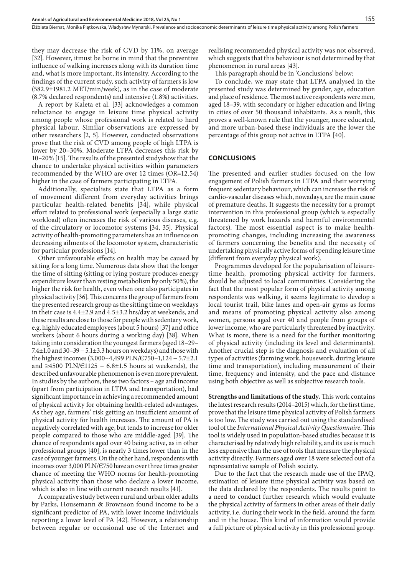they may decrease the risk of CVD by 11%, on average [32]. However, itmust be borne in mind that the preventive influence of walking increases along with its duration time and, what is more important, its intensity. According to the findings of the current study, such activity of farmers is low (582.9±1981.2 MET/min/week), as in the case of moderate (8.7% declared respondents) and intensive (1.8%) activities.

A report by Kaleta et al. [33] acknowledges a common reluctance to engage in leisure time physical activity among people whose professional work is related to hard physical labour. Similar observations are expressed by other researchers [2, 5]. However, conducted observations prove that the risk of CVD among people of high LTPA is lower by 20–30%. Moderate LTPA decreases this risk by 10–20% [15]. The results of the presented studyshow that the chance to undertake physical activities within parameters recommended by the WHO are over 12 times (OR=12.54) higher in the case of farmers participating in LTPA.

Additionally, specialists state that LTPA as a form of movement different from everyday activities brings particular health-related benefits [34], while physical effort related to professional work (especially a large static workload) often increases the risk of various diseases, e.g. of the circulatory or locomotor systems [34, 35]. Physical activity of health-promoting parameters has an influence on decreasing ailments of the locomotor system, characteristic for particular professions [14].

Other unfavourable effects on health may be caused by sitting for a long time. Numerous data show that the longer the time of sitting (sitting or lying posture produces energy expenditure lower than resting metabolism by only 50%), the higher the risk for health, even when one also participates in physical activity [36]. This concerns the group of farmers from the presented research group as the sitting time on weekdays in their case is 4.4±2.9 and 4.5±3.2 hrs/day at weekends, and these results are close to those for people with sedentary work, e.g. highly educated employees (about 5 hours) [37] and office workers (about 6 hours during a working day) [38]. When taking into consideration the youngest farmers (aged 18–29– 7.4±1.0 and 30–39 − 5.1±3.3 hours on weekdays) and those with the highest incomes (3,000–4,499 PLN/Є750–1,124 − 5.7±2.1 and ≥4500 PLN/ $E$ 1125 − 6.8±1.5 hours at weekends), the described unfavourable phenomenon is even more prevalent. In studies by the authors, these two factors – age and income (apart from participation in LTPA and transportation), had significant importance in achieving a recommended amount of physical activity for obtaining health-related advantages. As they age, farmers' risk getting an insufficient amount of physical activity for health increases. The amount of PA is negatively correlated with age, but tends to increase for older people compared to those who are middle-aged [39]. The chance of respondents aged over 40 being active, as in other professional groups [40], is nearly 3 times lower than in the case of younger farmers. On the other hand, respondents with incomes over 3,000 PLN/Є750 have an over three times greater chance of meeting the WHO norms for health-promoting physical activity than those who declare a lower income, which is also in line with current research results [41].

A comparative study between rural and urban older adults by Parks, Housemann & Brownson found income to be a significant predictor of PA, with lower income individuals reporting a lower level of PA [42]. However, a relationship between regular or occasional use of the Internet and realising recommended physical activity was not observed, which suggests that this behaviour is not determined by that phenomenon in rural areas [43].

This paragraph should be in 'Conclusions' below:

To conclude, we may state that LTPA analysed in the presented study was determined by gender, age, education and place of residence. The most active respondents were men, aged 18–39, with secondary or higher education and living in cities of over 50 thousand inhabitants. As a result, this proves a well-known rule that the younger, more educated, and more urban-based these individuals are the lower the percentage of this group not active in LTPA [40].

#### **CONCLUSIONS**

The presented and earlier studies focused on the low engagement of Polish farmers in LTPA and their worrying frequent sedentary behaviour, which can increase the risk of cardio-vascular diseases which, nowadays, are the main cause of premature deaths. It suggests the necessity for a prompt intervention in this professional group (which is especially threatened by work hazards and harmful environmental factors). The most essential aspect is to make healthpromoting changes, including increasing the awareness of farmers concerning the benefits and the necessity of undertaking physically active forms of spending leisure time (different from everyday physical work).

Programmes developed for the popularisation of leisuretime health, promoting physical activity for farmers, should be adjusted to local communities. Considering the fact that the most popular form of physical activity among respondents was walking, it seems legitimate to develop a local tourist trail, bike lanes and open-air gyms as forms and means of promoting physical activity also among women, persons aged over 40 and people from groups of lower income, who are particularly threatened by inactivity. What is more, there is a need for the further monitoring of physical activity (including its level and determinants). Another crucial step is the diagnosis and evaluation of all types of activities (farming work, housework, during leisure time and transportation), including measurement of their time, frequency and intensity, and the pace and distance using both objective as well as subjective research tools.

**Strengths and limitations of the study.** This work contains the latest research results (2014–2015) which, for the first time, prove that the leisure time physical activity of Polish farmers is too low. The study was carried out using the standardised tool of the *International Physical Activity Questionnaire*. This tool is widely used in population-based studies because it is characterised by relatively high reliability, and its use is much less expensive than the use of tools that measure the physical activity directly. Farmers aged over 18 were selected out of a representative sample of Polish society.

Due to the fact that the research made use of the IPAQ, estimation of leisure time physical activity was based on the data declared by the respondents. The results point to a need to conduct further research which would evaluate the physical activity of farmers in other areas of their daily activity, i.e. during their work in the field, around the farm and in the house. This kind of information would provide a full picture of physical activity in this professional group.